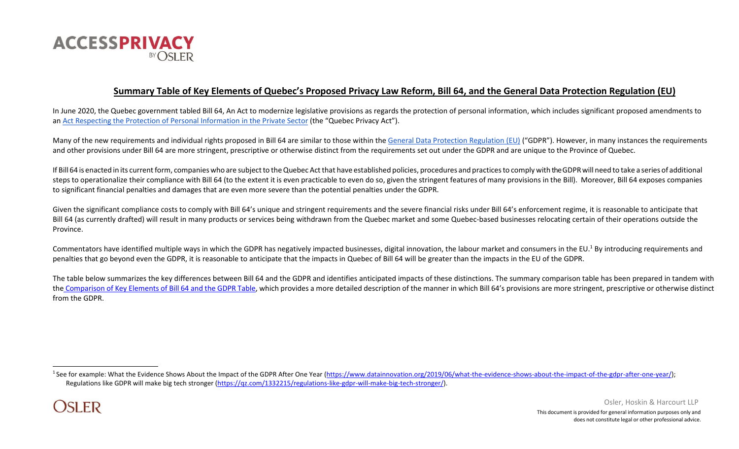

# **Summary Table of Key Elements of Quebec's Proposed Privacy Law Reform, Bill 64, and the General Data Protection Regulation (EU)**

In June 2020, the Quebec government tabled [Bill 64, An Act to modernize legislative provisions as regards the protection of personal information,](http://m.assnat.qc.ca/en/travaux-parlementaires/projets-loi/projet-loi-64-42-1.html) which includes significant proposed amendments to an [Act Respecting the Protection of Personal Information in the Private Sector](http://canlii.ca/t/53hxv) (the "Quebec Privacy Act").

Many of the new requirements and individual rights proposed in Bill 64 are similar to those within the [General Data Protection Regulation \(EU\)](https://eur-lex.europa.eu/legal-content/EN/TXT/PDF/?uri=CELEX%3A32016R0679) ("GDPR"). However, in many instances the requirements and other provisions under Bill 64 are more stringent, prescriptive or otherwise distinct from the requirements set out under the GDPR and are unique to the Province of Quebec.

If Bill 64 is enacted in its current form, companies who are subject to the Quebec Act that have established policies, procedures and practices to comply with the GDPR will need to take a series of additional steps to operationalize their compliance with Bill 64 (to the extent it is even practicable to even do so, given the stringent features of many provisions in the Bill). Moreover, Bill 64 exposes companies to significant financial penalties and damages that are even more severe than the potential penalties under the GDPR.

Given the significant compliance costs to comply with Bill 64's unique and stringent requirements and the severe financial risks under Bill 64's enforcement regime, it is reasonable to anticipate that Bill 64 (as currently drafted) will result in many products or services being withdrawn from the Quebec market and some Quebec-based businesses relocating certain of their operations outside the Province.

Commentators have identified multiple ways in which the GDPR has negatively impacted businesses, digital innovation, the labour market and consumers in the EU.<sup>1</sup> By introducing requirements and penalties that go beyond even the GDPR, it is reasonable to anticipate that the impacts in Quebec of Bill 64 will be greater than the impacts in the EU of the GDPR.

The table below summarizes the key differences between Bill 64 and the GDPR and identifies anticipated impacts of these distinctions. The summary comparison table has been prepared in tandem with the [Comparison of Key Elements of Bill 64 and the GDPR Table,](https://www.accessprivacy.com/AccessPrivacy/media/AccessPrivacy/Content/AccessPrivacy-Bill-64-GDPR-Comparison-Table.pdf) which provides a more detailed description of the manner in which Bill 64's provisions are more stringent, prescriptive or otherwise distinct from the GDPR.

<sup>&</sup>lt;sup>1</sup> See for example: What the Evidence Shows About the Impact of the GDPR After One Year [\(https://www.datainnovation.org/2019/06/what-the-evidence-shows-about-the-impact-of-the-gdpr-after-one-year/\);](https://www.datainnovation.org/2019/06/what-the-evidence-shows-about-the-impact-of-the-gdpr-after-one-year/) Regulations like GDPR will make big tech stronger [\(https://qz.com/1332215/regulations-like-gdpr-will-make-big-tech-stronger/\)](https://qz.com/1332215/regulations-like-gdpr-will-make-big-tech-stronger/).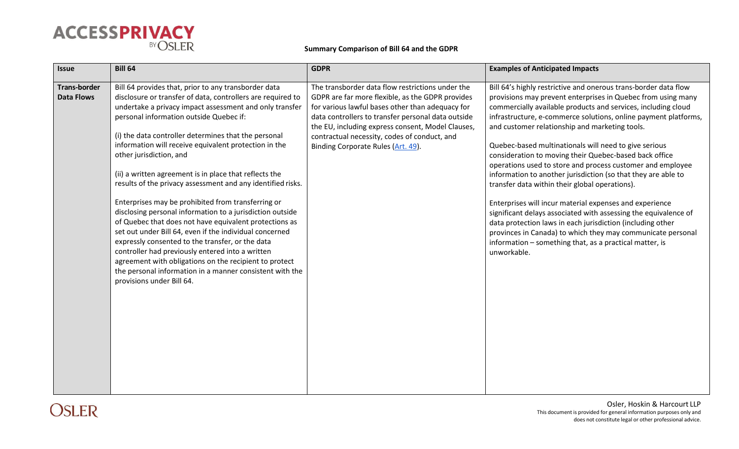

| <b>Issue</b>                             | <b>Bill 64</b>                                                                                                                                                                                                                                                                                                                                                                                                                                                                                                                                                                                                                                                                                                                                                                                                                                                                                                                                                                                    | <b>GDPR</b>                                                                                                                                                                                                                                                                                                                                               | <b>Examples of Anticipated Impacts</b>                                                                                                                                                                                                                                                                                                                                                                                                                                                                                                                                                                                                                                                                                                                                                                                                                                                                                                                         |
|------------------------------------------|---------------------------------------------------------------------------------------------------------------------------------------------------------------------------------------------------------------------------------------------------------------------------------------------------------------------------------------------------------------------------------------------------------------------------------------------------------------------------------------------------------------------------------------------------------------------------------------------------------------------------------------------------------------------------------------------------------------------------------------------------------------------------------------------------------------------------------------------------------------------------------------------------------------------------------------------------------------------------------------------------|-----------------------------------------------------------------------------------------------------------------------------------------------------------------------------------------------------------------------------------------------------------------------------------------------------------------------------------------------------------|----------------------------------------------------------------------------------------------------------------------------------------------------------------------------------------------------------------------------------------------------------------------------------------------------------------------------------------------------------------------------------------------------------------------------------------------------------------------------------------------------------------------------------------------------------------------------------------------------------------------------------------------------------------------------------------------------------------------------------------------------------------------------------------------------------------------------------------------------------------------------------------------------------------------------------------------------------------|
| <b>Trans-border</b><br><b>Data Flows</b> | Bill 64 provides that, prior to any transborder data<br>disclosure or transfer of data, controllers are required to<br>undertake a privacy impact assessment and only transfer<br>personal information outside Quebec if:<br>(i) the data controller determines that the personal<br>information will receive equivalent protection in the<br>other jurisdiction, and<br>(ii) a written agreement is in place that reflects the<br>results of the privacy assessment and any identified risks.<br>Enterprises may be prohibited from transferring or<br>disclosing personal information to a jurisdiction outside<br>of Quebec that does not have equivalent protections as<br>set out under Bill 64, even if the individual concerned<br>expressly consented to the transfer, or the data<br>controller had previously entered into a written<br>agreement with obligations on the recipient to protect<br>the personal information in a manner consistent with the<br>provisions under Bill 64. | The transborder data flow restrictions under the<br>GDPR are far more flexible, as the GDPR provides<br>for various lawful bases other than adequacy for<br>data controllers to transfer personal data outside<br>the EU, including express consent, Model Clauses,<br>contractual necessity, codes of conduct, and<br>Binding Corporate Rules (Art. 49). | Bill 64's highly restrictive and onerous trans-border data flow<br>provisions may prevent enterprises in Quebec from using many<br>commercially available products and services, including cloud<br>infrastructure, e-commerce solutions, online payment platforms,<br>and customer relationship and marketing tools.<br>Quebec-based multinationals will need to give serious<br>consideration to moving their Quebec-based back office<br>operations used to store and process customer and employee<br>information to another jurisdiction (so that they are able to<br>transfer data within their global operations).<br>Enterprises will incur material expenses and experience<br>significant delays associated with assessing the equivalence of<br>data protection laws in each jurisdiction (including other<br>provinces in Canada) to which they may communicate personal<br>information - something that, as a practical matter, is<br>unworkable. |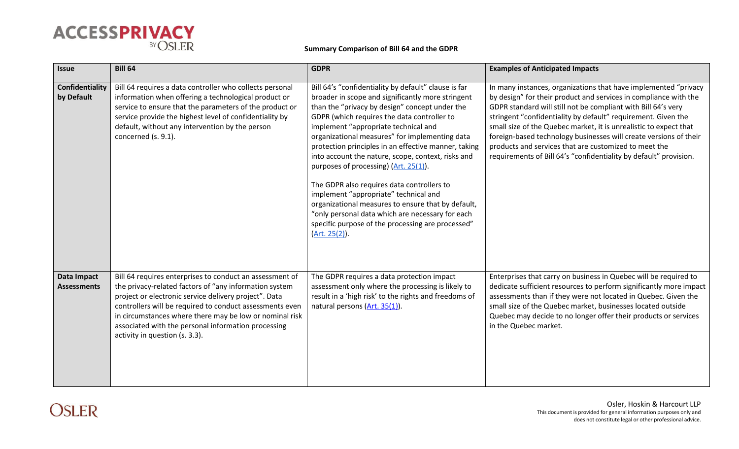

| <b>Issue</b>                      | <b>Bill 64</b>                                                                                                                                                                                                                                                                                                                                                                              | <b>GDPR</b>                                                                                                                                                                                                                                                                                                                                                                                                                                                                                                                                                                                                                                                                                                                       | <b>Examples of Anticipated Impacts</b>                                                                                                                                                                                                                                                                                                                                                                                                                                                                                                        |
|-----------------------------------|---------------------------------------------------------------------------------------------------------------------------------------------------------------------------------------------------------------------------------------------------------------------------------------------------------------------------------------------------------------------------------------------|-----------------------------------------------------------------------------------------------------------------------------------------------------------------------------------------------------------------------------------------------------------------------------------------------------------------------------------------------------------------------------------------------------------------------------------------------------------------------------------------------------------------------------------------------------------------------------------------------------------------------------------------------------------------------------------------------------------------------------------|-----------------------------------------------------------------------------------------------------------------------------------------------------------------------------------------------------------------------------------------------------------------------------------------------------------------------------------------------------------------------------------------------------------------------------------------------------------------------------------------------------------------------------------------------|
| Confidentiality<br>by Default     | Bill 64 requires a data controller who collects personal<br>information when offering a technological product or<br>service to ensure that the parameters of the product or<br>service provide the highest level of confidentiality by<br>default, without any intervention by the person<br>concerned (s. 9.1).                                                                            | Bill 64's "confidentiality by default" clause is far<br>broader in scope and significantly more stringent<br>than the "privacy by design" concept under the<br>GDPR (which requires the data controller to<br>implement "appropriate technical and<br>organizational measures" for implementing data<br>protection principles in an effective manner, taking<br>into account the nature, scope, context, risks and<br>purposes of processing) (Art. 25(1).<br>The GDPR also requires data controllers to<br>implement "appropriate" technical and<br>organizational measures to ensure that by default,<br>"only personal data which are necessary for each<br>specific purpose of the processing are processed"<br>(Art. 25(2)). | In many instances, organizations that have implemented "privacy<br>by design" for their product and services in compliance with the<br>GDPR standard will still not be compliant with Bill 64's very<br>stringent "confidentiality by default" requirement. Given the<br>small size of the Quebec market, it is unrealistic to expect that<br>foreign-based technology businesses will create versions of their<br>products and services that are customized to meet the<br>requirements of Bill 64's "confidentiality by default" provision. |
| Data Impact<br><b>Assessments</b> | Bill 64 requires enterprises to conduct an assessment of<br>the privacy-related factors of "any information system<br>project or electronic service delivery project". Data<br>controllers will be required to conduct assessments even<br>in circumstances where there may be low or nominal risk<br>associated with the personal information processing<br>activity in question (s. 3.3). | The GDPR requires a data protection impact<br>assessment only where the processing is likely to<br>result in a 'high risk' to the rights and freedoms of<br>natural persons (Art. 35(1)).                                                                                                                                                                                                                                                                                                                                                                                                                                                                                                                                         | Enterprises that carry on business in Quebec will be required to<br>dedicate sufficient resources to perform significantly more impact<br>assessments than if they were not located in Quebec. Given the<br>small size of the Quebec market, businesses located outside<br>Quebec may decide to no longer offer their products or services<br>in the Quebec market.                                                                                                                                                                           |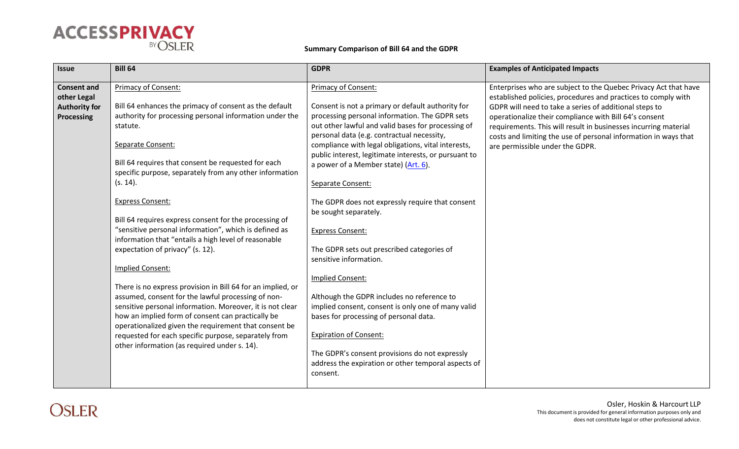

| <b>Issue</b>                                                                   | <b>Bill 64</b>                                                                                                                                                                                                                                                                                                                                                                                                                                                                                                                                                                                                                                                                                                                                                                                                                                                                                                                                                                | <b>GDPR</b>                                                                                                                                                                                                                                                                                                                                                                                                                                                                                                                                                                                                                                                                                                                                                                                                                                                                                                         | <b>Examples of Anticipated Impacts</b>                                                                                                                                                                                                                                                                                                                                                                                        |
|--------------------------------------------------------------------------------|-------------------------------------------------------------------------------------------------------------------------------------------------------------------------------------------------------------------------------------------------------------------------------------------------------------------------------------------------------------------------------------------------------------------------------------------------------------------------------------------------------------------------------------------------------------------------------------------------------------------------------------------------------------------------------------------------------------------------------------------------------------------------------------------------------------------------------------------------------------------------------------------------------------------------------------------------------------------------------|---------------------------------------------------------------------------------------------------------------------------------------------------------------------------------------------------------------------------------------------------------------------------------------------------------------------------------------------------------------------------------------------------------------------------------------------------------------------------------------------------------------------------------------------------------------------------------------------------------------------------------------------------------------------------------------------------------------------------------------------------------------------------------------------------------------------------------------------------------------------------------------------------------------------|-------------------------------------------------------------------------------------------------------------------------------------------------------------------------------------------------------------------------------------------------------------------------------------------------------------------------------------------------------------------------------------------------------------------------------|
| <b>Consent and</b><br>other Legal<br><b>Authority for</b><br><b>Processing</b> | Primacy of Consent:<br>Bill 64 enhances the primacy of consent as the default<br>authority for processing personal information under the<br>statute.<br>Separate Consent:<br>Bill 64 requires that consent be requested for each<br>specific purpose, separately from any other information<br>(s. 14).<br><b>Express Consent:</b><br>Bill 64 requires express consent for the processing of<br>"sensitive personal information", which is defined as<br>information that "entails a high level of reasonable<br>expectation of privacy" (s. 12).<br>Implied Consent:<br>There is no express provision in Bill 64 for an implied, or<br>assumed, consent for the lawful processing of non-<br>sensitive personal information. Moreover, it is not clear<br>how an implied form of consent can practically be<br>operationalized given the requirement that consent be<br>requested for each specific purpose, separately from<br>other information (as required under s. 14). | Primacy of Consent:<br>Consent is not a primary or default authority for<br>processing personal information. The GDPR sets<br>out other lawful and valid bases for processing of<br>personal data (e.g. contractual necessity,<br>compliance with legal obligations, vital interests,<br>public interest, legitimate interests, or pursuant to<br>a power of a Member state) (Art. 6).<br>Separate Consent:<br>The GDPR does not expressly require that consent<br>be sought separately.<br><b>Express Consent:</b><br>The GDPR sets out prescribed categories of<br>sensitive information.<br>Implied Consent:<br>Although the GDPR includes no reference to<br>implied consent, consent is only one of many valid<br>bases for processing of personal data.<br><b>Expiration of Consent:</b><br>The GDPR's consent provisions do not expressly<br>address the expiration or other temporal aspects of<br>consent. | Enterprises who are subject to the Quebec Privacy Act that have<br>established policies, procedures and practices to comply with<br>GDPR will need to take a series of additional steps to<br>operationalize their compliance with Bill 64's consent<br>requirements. This will result in businesses incurring material<br>costs and limiting the use of personal information in ways that<br>are permissible under the GDPR. |

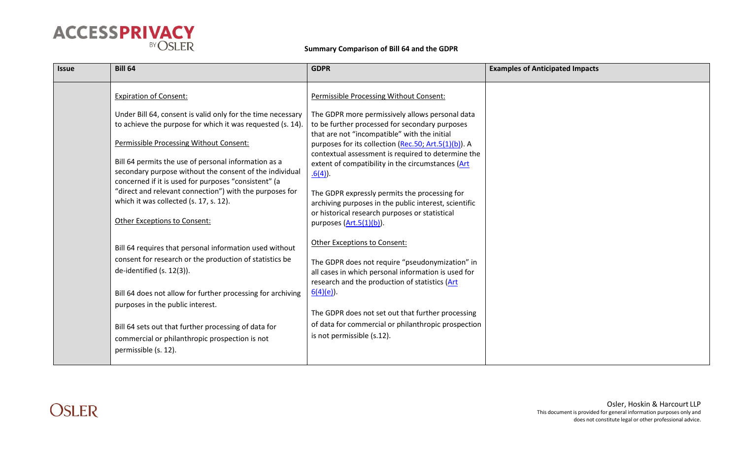

| <b>Issue</b> | <b>Bill 64</b>                                                                                                                                                          | <b>GDPR</b>                                                                                                                                                                                               | <b>Examples of Anticipated Impacts</b> |
|--------------|-------------------------------------------------------------------------------------------------------------------------------------------------------------------------|-----------------------------------------------------------------------------------------------------------------------------------------------------------------------------------------------------------|----------------------------------------|
|              | <b>Expiration of Consent:</b>                                                                                                                                           | Permissible Processing Without Consent:                                                                                                                                                                   |                                        |
|              | Under Bill 64, consent is valid only for the time necessary<br>to achieve the purpose for which it was requested (s. 14).<br>Permissible Processing Without Consent:    | The GDPR more permissively allows personal data<br>to be further processed for secondary purposes<br>that are not "incompatible" with the initial<br>purposes for its collection (Rec.50; Art.5(1)(b)). A |                                        |
|              | Bill 64 permits the use of personal information as a<br>secondary purpose without the consent of the individual<br>concerned if it is used for purposes "consistent" (a | contextual assessment is required to determine the<br>extent of compatibility in the circumstances (Art<br>$.6(4)$ .                                                                                      |                                        |
|              | "direct and relevant connection") with the purposes for<br>which it was collected (s. 17, s. 12).<br>Other Exceptions to Consent:                                       | The GDPR expressly permits the processing for<br>archiving purposes in the public interest, scientific<br>or historical research purposes or statistical<br>purposes $(Art.5(1)(b))$ .                    |                                        |
|              | Bill 64 requires that personal information used without<br>consent for research or the production of statistics be<br>de-identified (s. 12(3)).                         | Other Exceptions to Consent:<br>The GDPR does not require "pseudonymization" in<br>all cases in which personal information is used for<br>research and the production of statistics (Art                  |                                        |
|              | Bill 64 does not allow for further processing for archiving<br>purposes in the public interest.                                                                         | $6(4)(e)$ ).<br>The GDPR does not set out that further processing                                                                                                                                         |                                        |
|              | Bill 64 sets out that further processing of data for<br>commercial or philanthropic prospection is not<br>permissible (s. 12).                                          | of data for commercial or philanthropic prospection<br>is not permissible (s.12).                                                                                                                         |                                        |

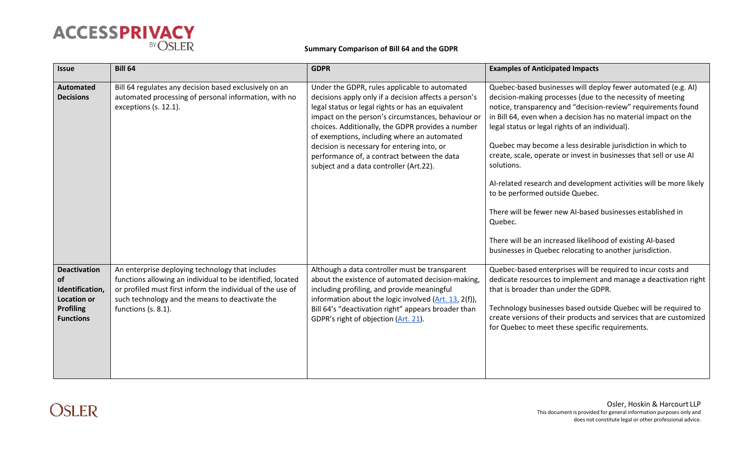

| <b>Issue</b>                                                                                               | <b>Bill 64</b>                                                                                                                                                                                                                                         | <b>GDPR</b>                                                                                                                                                                                                                                                                                                                                                                                                                                                    | <b>Examples of Anticipated Impacts</b>                                                                                                                                                                                                                                                                                                                                                                                                                                                                                                                                                                                                                                                                                                                                           |
|------------------------------------------------------------------------------------------------------------|--------------------------------------------------------------------------------------------------------------------------------------------------------------------------------------------------------------------------------------------------------|----------------------------------------------------------------------------------------------------------------------------------------------------------------------------------------------------------------------------------------------------------------------------------------------------------------------------------------------------------------------------------------------------------------------------------------------------------------|----------------------------------------------------------------------------------------------------------------------------------------------------------------------------------------------------------------------------------------------------------------------------------------------------------------------------------------------------------------------------------------------------------------------------------------------------------------------------------------------------------------------------------------------------------------------------------------------------------------------------------------------------------------------------------------------------------------------------------------------------------------------------------|
| Automated<br><b>Decisions</b>                                                                              | Bill 64 regulates any decision based exclusively on an<br>automated processing of personal information, with no<br>exceptions (s. 12.1).                                                                                                               | Under the GDPR, rules applicable to automated<br>decisions apply only if a decision affects a person's<br>legal status or legal rights or has an equivalent<br>impact on the person's circumstances, behaviour or<br>choices. Additionally, the GDPR provides a number<br>of exemptions, including where an automated<br>decision is necessary for entering into, or<br>performance of, a contract between the data<br>subject and a data controller (Art.22). | Quebec-based businesses will deploy fewer automated (e.g. AI)<br>decision-making processes (due to the necessity of meeting<br>notice, transparency and "decision-review" requirements found<br>in Bill 64, even when a decision has no material impact on the<br>legal status or legal rights of an individual).<br>Quebec may become a less desirable jurisdiction in which to<br>create, scale, operate or invest in businesses that sell or use AI<br>solutions.<br>Al-related research and development activities will be more likely<br>to be performed outside Quebec.<br>There will be fewer new AI-based businesses established in<br>Quebec.<br>There will be an increased likelihood of existing AI-based<br>businesses in Quebec relocating to another jurisdiction. |
| <b>Deactivation</b><br>of<br>Identification,<br><b>Location or</b><br><b>Profiling</b><br><b>Functions</b> | An enterprise deploying technology that includes<br>functions allowing an individual to be identified, located<br>or profiled must first inform the individual of the use of<br>such technology and the means to deactivate the<br>functions (s. 8.1). | Although a data controller must be transparent<br>about the existence of automated decision-making,<br>including profiling, and provide meaningful<br>information about the logic involved (Art. 13, 2(f)),<br>Bill 64's "deactivation right" appears broader than<br>GDPR's right of objection (Art. 21).                                                                                                                                                     | Quebec-based enterprises will be required to incur costs and<br>dedicate resources to implement and manage a deactivation right<br>that is broader than under the GDPR.<br>Technology businesses based outside Quebec will be required to<br>create versions of their products and services that are customized<br>for Quebec to meet these specific requirements.                                                                                                                                                                                                                                                                                                                                                                                                               |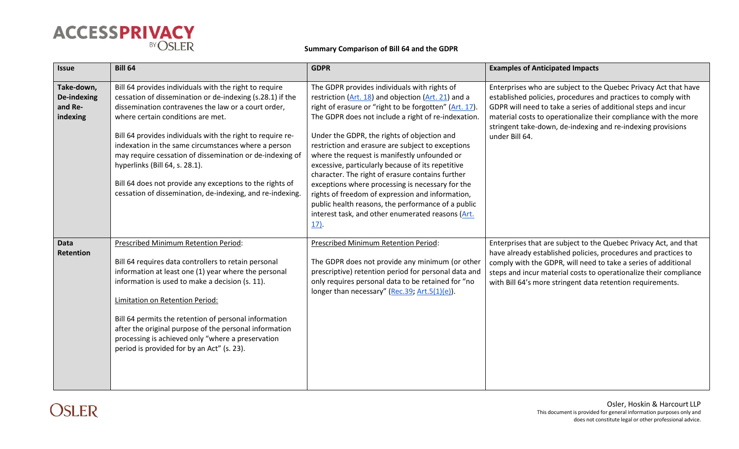

| <b>Issue</b>                                            | <b>Bill 64</b>                                                                                                                                                                                                                                                                                                                                                                                                                                                                                                                                              | <b>GDPR</b>                                                                                                                                                                                                                                                                                                                                                                                                                                                                                                                                                                                                                                                                                                              | <b>Examples of Anticipated Impacts</b>                                                                                                                                                                                                                                                                                                                |
|---------------------------------------------------------|-------------------------------------------------------------------------------------------------------------------------------------------------------------------------------------------------------------------------------------------------------------------------------------------------------------------------------------------------------------------------------------------------------------------------------------------------------------------------------------------------------------------------------------------------------------|--------------------------------------------------------------------------------------------------------------------------------------------------------------------------------------------------------------------------------------------------------------------------------------------------------------------------------------------------------------------------------------------------------------------------------------------------------------------------------------------------------------------------------------------------------------------------------------------------------------------------------------------------------------------------------------------------------------------------|-------------------------------------------------------------------------------------------------------------------------------------------------------------------------------------------------------------------------------------------------------------------------------------------------------------------------------------------------------|
| Take-down,<br><b>De-indexing</b><br>and Re-<br>indexing | Bill 64 provides individuals with the right to require<br>cessation of dissemination or de-indexing (s.28.1) if the<br>dissemination contravenes the law or a court order,<br>where certain conditions are met.<br>Bill 64 provides individuals with the right to require re-<br>indexation in the same circumstances where a person<br>may require cessation of dissemination or de-indexing of<br>hyperlinks (Bill 64, s. 28.1).<br>Bill 64 does not provide any exceptions to the rights of<br>cessation of dissemination, de-indexing, and re-indexing. | The GDPR provides individuals with rights of<br>restriction $(Art. 18)$ and objection $(Art. 21)$ and a<br>right of erasure or "right to be forgotten" (Art. 17).<br>The GDPR does not include a right of re-indexation.<br>Under the GDPR, the rights of objection and<br>restriction and erasure are subject to exceptions<br>where the request is manifestly unfounded or<br>excessive, particularly because of its repetitive<br>character. The right of erasure contains further<br>exceptions where processing is necessary for the<br>rights of freedom of expression and information,<br>public health reasons, the performance of a public<br>interest task, and other enumerated reasons (Art.<br><u>17)</u> . | Enterprises who are subject to the Quebec Privacy Act that have<br>established policies, procedures and practices to comply with<br>GDPR will need to take a series of additional steps and incur<br>material costs to operationalize their compliance with the more<br>stringent take-down, de-indexing and re-indexing provisions<br>under Bill 64. |
| <b>Data</b><br>Retention                                | Prescribed Minimum Retention Period:<br>Bill 64 requires data controllers to retain personal<br>information at least one (1) year where the personal<br>information is used to make a decision (s. 11).<br>Limitation on Retention Period:<br>Bill 64 permits the retention of personal information<br>after the original purpose of the personal information<br>processing is achieved only "where a preservation<br>period is provided for by an Act" (s. 23).                                                                                            | <b>Prescribed Minimum Retention Period:</b><br>The GDPR does not provide any minimum (or other<br>prescriptive) retention period for personal data and<br>only requires personal data to be retained for "no<br>longer than necessary" (Rec.39; Art.5(1)(e)).                                                                                                                                                                                                                                                                                                                                                                                                                                                            | Enterprises that are subject to the Quebec Privacy Act, and that<br>have already established policies, procedures and practices to<br>comply with the GDPR, will need to take a series of additional<br>steps and incur material costs to operationalize their compliance<br>with Bill 64's more stringent data retention requirements.               |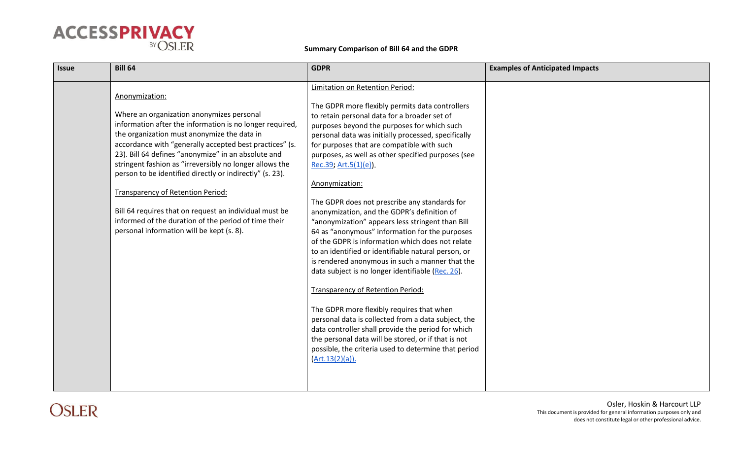

| <b>Issue</b> | <b>Bill 64</b>                                                                                                                                                                                                                                                                                                                                                                                                                                                                                                                                                                                                             | <b>GDPR</b>                                                                                                                                                                                                                                                                                                                                                                                                                                                                                                                                                                                                                                                                                                                                                                                                                                                                                                                                                                                                                                                                                                                                              | <b>Examples of Anticipated Impacts</b> |
|--------------|----------------------------------------------------------------------------------------------------------------------------------------------------------------------------------------------------------------------------------------------------------------------------------------------------------------------------------------------------------------------------------------------------------------------------------------------------------------------------------------------------------------------------------------------------------------------------------------------------------------------------|----------------------------------------------------------------------------------------------------------------------------------------------------------------------------------------------------------------------------------------------------------------------------------------------------------------------------------------------------------------------------------------------------------------------------------------------------------------------------------------------------------------------------------------------------------------------------------------------------------------------------------------------------------------------------------------------------------------------------------------------------------------------------------------------------------------------------------------------------------------------------------------------------------------------------------------------------------------------------------------------------------------------------------------------------------------------------------------------------------------------------------------------------------|----------------------------------------|
|              | Anonymization:<br>Where an organization anonymizes personal<br>information after the information is no longer required,<br>the organization must anonymize the data in<br>accordance with "generally accepted best practices" (s.<br>23). Bill 64 defines "anonymize" in an absolute and<br>stringent fashion as "irreversibly no longer allows the<br>person to be identified directly or indirectly" (s. 23).<br><b>Transparency of Retention Period:</b><br>Bill 64 requires that on request an individual must be<br>informed of the duration of the period of time their<br>personal information will be kept (s. 8). | Limitation on Retention Period:<br>The GDPR more flexibly permits data controllers<br>to retain personal data for a broader set of<br>purposes beyond the purposes for which such<br>personal data was initially processed, specifically<br>for purposes that are compatible with such<br>purposes, as well as other specified purposes (see<br>Rec.39; Art.5(1)(e)).<br>Anonymization:<br>The GDPR does not prescribe any standards for<br>anonymization, and the GDPR's definition of<br>"anonymization" appears less stringent than Bill<br>64 as "anonymous" information for the purposes<br>of the GDPR is information which does not relate<br>to an identified or identifiable natural person, or<br>is rendered anonymous in such a manner that the<br>data subject is no longer identifiable (Rec. 26).<br><b>Transparency of Retention Period:</b><br>The GDPR more flexibly requires that when<br>personal data is collected from a data subject, the<br>data controller shall provide the period for which<br>the personal data will be stored, or if that is not<br>possible, the criteria used to determine that period<br>(Art.13(2)(a)). |                                        |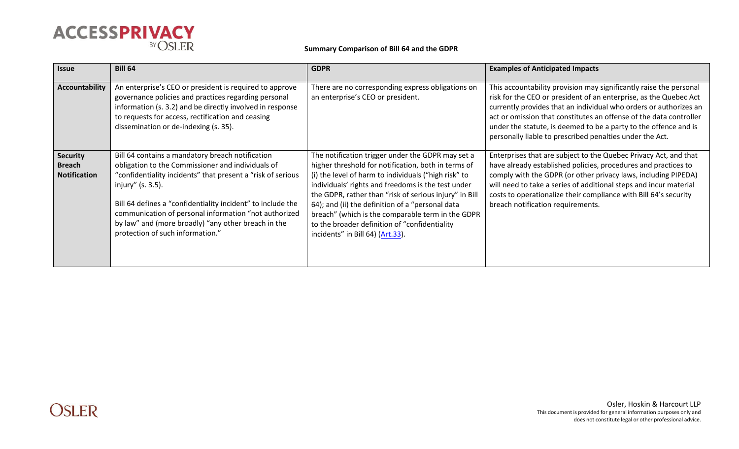

| <b>Issue</b>                                            | <b>Bill 64</b>                                                                                                                                                                                                                                                                                                                                                                                               | <b>GDPR</b>                                                                                                                                                                                                                                                                                                                                                                                                                                                                     | <b>Examples of Anticipated Impacts</b>                                                                                                                                                                                                                                                                                                                                                                             |
|---------------------------------------------------------|--------------------------------------------------------------------------------------------------------------------------------------------------------------------------------------------------------------------------------------------------------------------------------------------------------------------------------------------------------------------------------------------------------------|---------------------------------------------------------------------------------------------------------------------------------------------------------------------------------------------------------------------------------------------------------------------------------------------------------------------------------------------------------------------------------------------------------------------------------------------------------------------------------|--------------------------------------------------------------------------------------------------------------------------------------------------------------------------------------------------------------------------------------------------------------------------------------------------------------------------------------------------------------------------------------------------------------------|
| <b>Accountability</b>                                   | An enterprise's CEO or president is required to approve<br>governance policies and practices regarding personal<br>information (s. 3.2) and be directly involved in response<br>to requests for access, rectification and ceasing<br>dissemination or de-indexing (s. 35).                                                                                                                                   | There are no corresponding express obligations on<br>an enterprise's CEO or president.                                                                                                                                                                                                                                                                                                                                                                                          | This accountability provision may significantly raise the personal<br>risk for the CEO or president of an enterprise, as the Quebec Act<br>currently provides that an individual who orders or authorizes an<br>act or omission that constitutes an offense of the data controller<br>under the statute, is deemed to be a party to the offence and is<br>personally liable to prescribed penalties under the Act. |
| <b>Security</b><br><b>Breach</b><br><b>Notification</b> | Bill 64 contains a mandatory breach notification<br>obligation to the Commissioner and individuals of<br>"confidentiality incidents" that present a "risk of serious<br>injury" (s. 3.5).<br>Bill 64 defines a "confidentiality incident" to include the<br>communication of personal information "not authorized<br>by law" and (more broadly) "any other breach in the<br>protection of such information." | The notification trigger under the GDPR may set a<br>higher threshold for notification, both in terms of<br>(i) the level of harm to individuals ("high risk" to<br>individuals' rights and freedoms is the test under<br>the GDPR, rather than "risk of serious injury" in Bill<br>64); and (ii) the definition of a "personal data<br>breach" (which is the comparable term in the GDPR<br>to the broader definition of "confidentiality"<br>incidents" in Bill 64) (Art.33). | Enterprises that are subject to the Quebec Privacy Act, and that<br>have already established policies, procedures and practices to<br>comply with the GDPR (or other privacy laws, including PIPEDA)<br>will need to take a series of additional steps and incur material<br>costs to operationalize their compliance with Bill 64's security<br>breach notification requirements.                                 |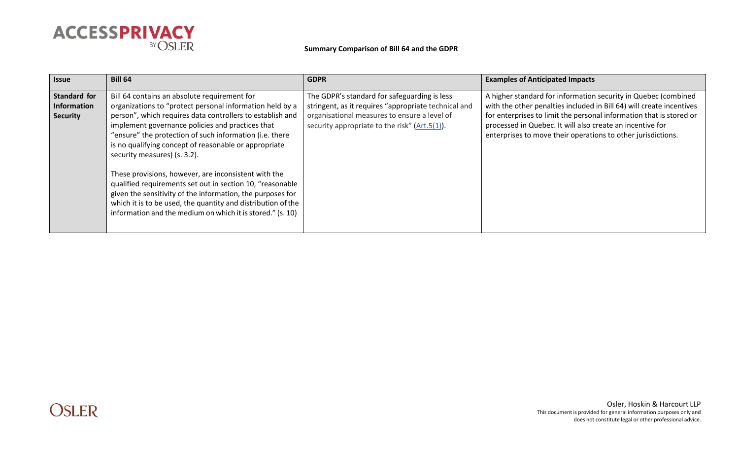

| <b>Issue</b>                                                 | <b>Bill 64</b>                                                                                                                                                                                                                                                                                                                                                                                                                                                                                                                                                   | <b>GDPR</b>                                                                                                                                                                                              | <b>Examples of Anticipated Impacts</b>                                                                                                                                                                                                                                                                                                     |
|--------------------------------------------------------------|------------------------------------------------------------------------------------------------------------------------------------------------------------------------------------------------------------------------------------------------------------------------------------------------------------------------------------------------------------------------------------------------------------------------------------------------------------------------------------------------------------------------------------------------------------------|----------------------------------------------------------------------------------------------------------------------------------------------------------------------------------------------------------|--------------------------------------------------------------------------------------------------------------------------------------------------------------------------------------------------------------------------------------------------------------------------------------------------------------------------------------------|
| <b>Standard for</b><br><b>Information</b><br><b>Security</b> | Bill 64 contains an absolute requirement for<br>organizations to "protect personal information held by a<br>person", which requires data controllers to establish and<br>implement governance policies and practices that<br>"ensure" the protection of such information (i.e. there<br>is no qualifying concept of reasonable or appropriate<br>security measures) (s. 3.2).<br>These provisions, however, are inconsistent with the<br>qualified requirements set out in section 10, "reasonable<br>given the sensitivity of the information, the purposes for | The GDPR's standard for safeguarding is less<br>stringent, as it requires "appropriate technical and<br>organisational measures to ensure a level of<br>security appropriate to the risk" $(Art.5(1))$ . | A higher standard for information security in Quebec (combined<br>with the other penalties included in Bill 64) will create incentives<br>for enterprises to limit the personal information that is stored or<br>processed in Quebec. It will also create an incentive for<br>enterprises to move their operations to other jurisdictions. |
|                                                              | which it is to be used, the quantity and distribution of the<br>information and the medium on which it is stored." (s. 10)                                                                                                                                                                                                                                                                                                                                                                                                                                       |                                                                                                                                                                                                          |                                                                                                                                                                                                                                                                                                                                            |